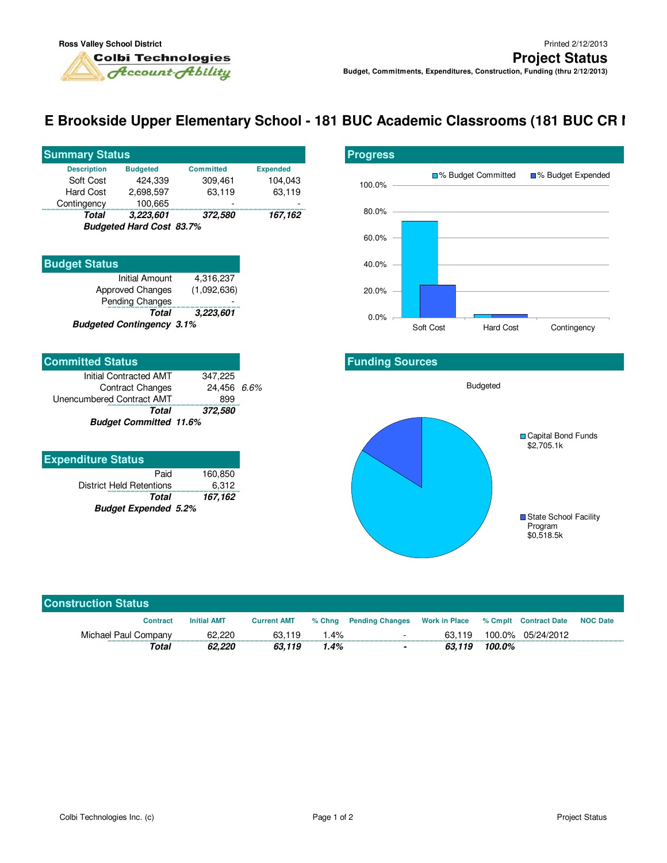## **E Brookside Upper Elementary School - 181 BUC Academic Classrooms (181 BUC CR I**

| <b>Summary Status</b>                              |                 |                  |                 |  |  |  |
|----------------------------------------------------|-----------------|------------------|-----------------|--|--|--|
| <b>Description</b>                                 | <b>Budgeted</b> | <b>Committed</b> | <b>Expended</b> |  |  |  |
| Soft Cost                                          | 424.339         | 309,461          | 104.043         |  |  |  |
| Hard Cost                                          | 2.698.597       | 63,119           | 63,119          |  |  |  |
| Contingency                                        | 100,665         |                  |                 |  |  |  |
| Total                                              | 3,223,601       | 372,580          | 167,162         |  |  |  |
| $D_{total}$ and $L_{total}$ $D_{total}$ $D0$ $70/$ |                 |                  |                 |  |  |  |

**Budgeted Hard Cost 83.7%**

| <b>Budget Status</b>             |             |
|----------------------------------|-------------|
| <b>Initial Amount</b>            | 4,316,237   |
| Approved Changes                 | (1,092,636) |
| Pending Changes                  |             |
| <b>Total</b>                     | 3,223,601   |
| <b>Budgeted Contingency 3.1%</b> |             |

| <b>Committed Status</b>       |             |  |
|-------------------------------|-------------|--|
| Initial Contracted AMT        | 347.225     |  |
| <b>Contract Changes</b>       | 24,456 6.6% |  |
| Unencumbered Contract AMT     | 899         |  |
| Total                         | 372,580     |  |
| <b>Budget Committed 11.6%</b> |             |  |

| <b>Expenditure Status</b>       |         |  |  |  |
|---------------------------------|---------|--|--|--|
| Paid                            | 160.850 |  |  |  |
| <b>District Held Retentions</b> | 6,312   |  |  |  |
| Total                           | 167,162 |  |  |  |
| <b>Budget Expended 5.2%</b>     |         |  |  |  |



## **Funding Sources**



| <b>Construction Status</b> |                    |                    |         |                                      |        |        |                       |                 |
|----------------------------|--------------------|--------------------|---------|--------------------------------------|--------|--------|-----------------------|-----------------|
| <b>Contract</b>            | <b>Initial AMT</b> | <b>Current AMT</b> |         | % Chng Pending Changes Work in Place |        |        | % Cmplt Contract Date | <b>NOC Date</b> |
| Michael Paul Company       | 62.220             | 63.119             | $1.4\%$ | $\sim$                               | 63.119 | 100.0% | 05/24/2012            |                 |
| Total                      | 62.220             | 63.119             | 1.4%    | $\overline{\phantom{a}}$             | 63.119 | 100.0% |                       |                 |